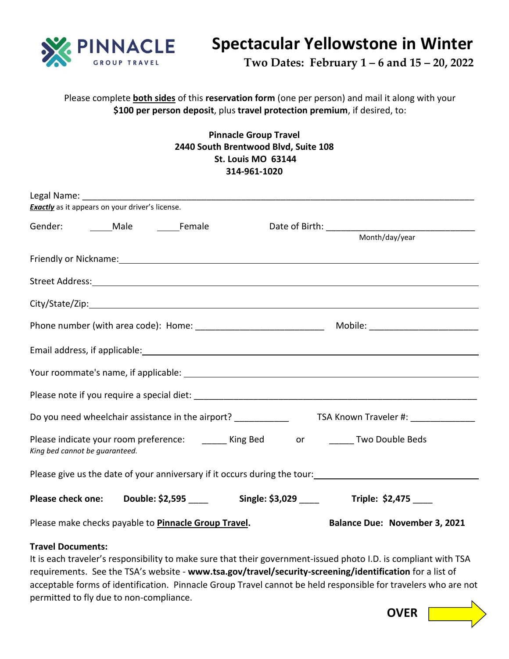

## **Spectacular Yellowstone in Winter**

 **Two Dates: February 1 – 6 and 15 – 20, 2022**

Please complete **both sides** of this **reservation form** (one per person) and mail it along with your **\$100 per person deposit**, plus **travel protection premium**, if desired, to:

## **Pinnacle Group Travel 2440 South Brentwood Blvd, Suite 108 St. Louis MO 63144 314-961-1020**

| <b>Exactly</b> as it appears on your driver's license.                                                                                                                                                                         |                                                             |  |                                                                                  |
|--------------------------------------------------------------------------------------------------------------------------------------------------------------------------------------------------------------------------------|-------------------------------------------------------------|--|----------------------------------------------------------------------------------|
|                                                                                                                                                                                                                                |                                                             |  |                                                                                  |
|                                                                                                                                                                                                                                |                                                             |  | Month/day/year                                                                   |
| Friendly or Nickname: 1998 and 2008 and 2009 and 2008 and 2009 and 2009 and 2009 and 2009 and 2009 and 2009 and 2009 and 2009 and 2009 and 2009 and 2009 and 2009 and 2009 and 2009 and 2009 and 2009 and 2009 and 2009 and 20 |                                                             |  |                                                                                  |
|                                                                                                                                                                                                                                |                                                             |  |                                                                                  |
|                                                                                                                                                                                                                                |                                                             |  |                                                                                  |
|                                                                                                                                                                                                                                |                                                             |  |                                                                                  |
|                                                                                                                                                                                                                                |                                                             |  |                                                                                  |
|                                                                                                                                                                                                                                |                                                             |  |                                                                                  |
|                                                                                                                                                                                                                                |                                                             |  |                                                                                  |
|                                                                                                                                                                                                                                |                                                             |  |                                                                                  |
| Please indicate your room preference: _______ King Bed ______ or _______ Two Double Beds<br>King bed cannot be guaranteed.                                                                                                     |                                                             |  |                                                                                  |
| Please give us the date of your anniversary if it occurs during the tour:<br><u>Please give us the date of your anniversary if it occurs during the tour:</u>                                                                  |                                                             |  |                                                                                  |
|                                                                                                                                                                                                                                |                                                             |  | Please check one: Double: \$2,595 _____ Single: \$3,029 ____ Triple: \$2,475 ___ |
|                                                                                                                                                                                                                                | Please make checks payable to <b>Pinnacle Group Travel.</b> |  | <b>Balance Due: November 3, 2021</b>                                             |

## **Travel Documents:**

It is each traveler's responsibility to make sure that their government-issued photo I.D. is compliant with TSA requirements. See the TSA's website - **www.tsa.gov/travel/security-screening/identification** for a list of acceptable forms of identification. Pinnacle Group Travel cannot be held responsible for travelers who are not permitted to fly due to non-compliance.